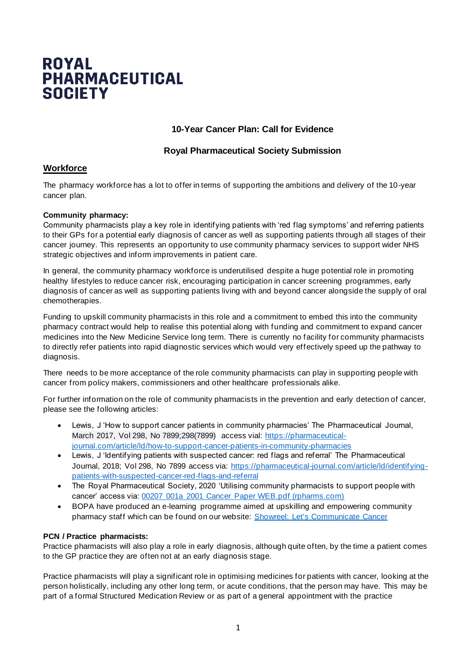# **ROYAL PHARMACEUTICAL SOCIETY**

## **10-Year Cancer Plan: Call for Evidence**

## **Royal Pharmaceutical Society Submission**

# **Workforce**

The pharmacy workforce has a lot to offer in terms of supporting the ambitions and delivery of the 10-year cancer plan.

#### **Community pharmacy:**

Community pharmacists play a key role in identifying patients with 'red flag symptoms' and referring patients to their GPs for a potential early diagnosis of cancer as well as supporting patients through all stages of their cancer journey. This represents an opportunity to use community pharmacy services to support wider NHS strategic objectives and inform improvements in patient care.

In general, the community pharmacy workforce is underutilised despite a huge potential role in promoting healthy lifestyles to reduce cancer risk, encouraging participation in cancer screening programmes, early diagnosis of cancer as well as supporting patients living with and beyond cancer alongside the supply of oral chemotherapies.

Funding to upskill community pharmacists in this role and a commitment to embed this into the community pharmacy contract would help to realise this potential along with funding and commitment to expand cancer medicines into the New Medicine Service long term. There is currently no facility for community pharmacists to directly refer patients into rapid diagnostic services which would very effectively speed up the pathway to diagnosis.

There needs to be more acceptance of the role community pharmacists can play in supporting people with cancer from policy makers, commissioners and other healthcare professionals alike.

For further information on the role of community pharmacists in the prevention and early detection of cancer, please see the following articles:

- Lewis, J 'How to support cancer patients in community pharmacies' The Pharmaceutical Journal, March 2017, Vol 298, No 7899;298(7899) access vial: [https://pharmaceutical](https://pharmaceutical-journal.com/article/ld/how-to-support-cancer-patients-in-community-pharmacies)[journal.com/article/ld/how-to-support-cancer-patients-in-community-pharmacies](https://pharmaceutical-journal.com/article/ld/how-to-support-cancer-patients-in-community-pharmacies)
- Lewis, J 'Identifying patients with suspected cancer: red flags and referral' The Pharmaceutical Journal, 2018; Vol 298, No 7899 access via: [https://pharmaceutical-journal.com/article/ld/identifying](https://pharmaceutical-journal.com/article/ld/identifying-patients-with-suspected-cancer-red-flags-and-referral)[patients-with-suspected-cancer-red-flags-and-referral](https://pharmaceutical-journal.com/article/ld/identifying-patients-with-suspected-cancer-red-flags-and-referral)
- The Royal Pharmaceutical Society, 2020 'Utilising community pharmacists to support people with cancer' access via: [00207 001a 2001 Cancer Paper WEB.pdf \(rpharms.com\)](https://www.rpharms.com/Portals/0/RPS%20document%20library/Open%20access/Policy/00207%20001a%202001%20Cancer%20Paper%20WEB.pdf?ver=2020-01-10-093311-763)
- BOPA have produced an e-learning programme aimed at upskilling and empowering community pharmacy staff which can be found on our website: [Showreel: Let's Communicate Cancer](https://www.bopa.org.uk/lessons/showreel-note-you-must-be-at-least-a-free-member-to-access-this-course-join-here/)

#### **PCN / Practice pharmacists:**

Practice pharmacists will also play a role in early diagnosis, although quite often, by the time a patient comes to the GP practice they are often not at an early diagnosis stage.

Practice pharmacists will play a significant role in optimising medicines for patients with cancer, looking at the person holistically, including any other long term, or acute conditions, that the person may have. This may be part of a formal Structured Medication Review or as part of a general appointment with the practice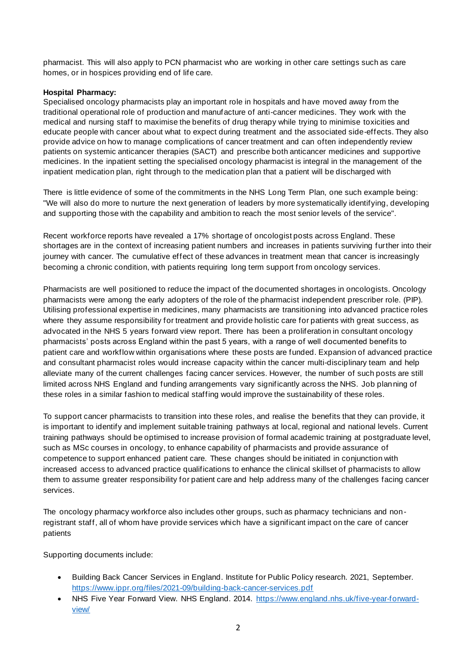pharmacist. This will also apply to PCN pharmacist who are working in other care settings such as care homes, or in hospices providing end of life care.

#### **Hospital Pharmacy:**

Specialised oncology pharmacists play an important role in hospitals and have moved away from the traditional operational role of production and manufacture of anti-cancer medicines. They work with the medical and nursing staff to maximise the benefits of drug therapy while trying to minimise toxicities and educate people with cancer about what to expect during treatment and the associated side-effects. They also provide advice on how to manage complications of cancer treatment and can often independently review patients on systemic anticancer therapies (SACT) and prescribe both anticancer medicines and supportive medicines. In the inpatient setting the specialised oncology pharmacist is integral in the management of the inpatient medication plan, right through to the medication plan that a patient will be discharged with

There is little evidence of some of the commitments in the NHS Long Term Plan, one such example being: "We will also do more to nurture the next generation of leaders by more systematically identifying, developing and supporting those with the capability and ambition to reach the most senior levels of the service".

Recent workforce reports have revealed a 17% shortage of oncologist posts across England. These shortages are in the context of increasing patient numbers and increases in patients surviving further into their journey with cancer. The cumulative effect of these advances in treatment mean that cancer is increasingly becoming a chronic condition, with patients requiring long term support from oncology services.

Pharmacists are well positioned to reduce the impact of the documented shortages in oncologists. Oncology pharmacists were among the early adopters of the role of the pharmacist independent prescriber role. (PIP). Utilising professional expertise in medicines, many pharmacists are transitioning into advanced practice roles where they assume responsibility for treatment and provide holistic care for patients with great success, as advocated in the NHS 5 years forward view report. There has been a proliferation in consultant oncology pharmacists' posts across England within the past 5 years, with a range of well documented benefits to patient care and workflow within organisations where these posts are funded. Expansion of advanced practice and consultant pharmacist roles would increase capacity within the cancer multi-disciplinary team and help alleviate many of the current challenges facing cancer services. However, the number of such posts are still limited across NHS England and funding arrangements vary significantly across the NHS. Job planning of these roles in a similar fashion to medical staffing would improve the sustainability of these roles.

To support cancer pharmacists to transition into these roles, and realise the benefits that they can provide, it is important to identify and implement suitable training pathways at local, regional and national levels. Current training pathways should be optimised to increase provision of formal academic training at postgraduate level, such as MSc courses in oncology, to enhance capability of pharmacists and provide assurance of competence to support enhanced patient care. These changes should be initiated in conjunction with increased access to advanced practice qualifications to enhance the clinical skillset of pharmacists to allow them to assume greater responsibility for patient care and help address many of the challenges facing cancer services.

The oncology pharmacy workforce also includes other groups, such as pharmacy technicians and nonregistrant staff, all of whom have provide services which have a significant impact on the care of cancer patients

Supporting documents include:

- Building Back Cancer Services in England. Institute for Public Policy research. 2021, September. <https://www.ippr.org/files/2021-09/building-back-cancer-services.pdf>
- NHS Five Year Forward View. NHS England. 2014. [https://www.england.nhs.uk/five-year-forward](https://www.england.nhs.uk/five-year-forward-view/)[view/](https://www.england.nhs.uk/five-year-forward-view/)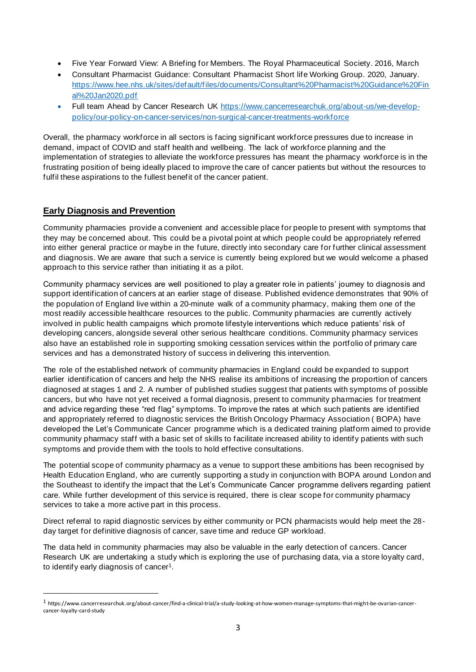- Five Year Forward View: A Briefing for Members. The Royal Pharmaceutical Society. 2016, March
- Consultant Pharmacist Guidance: Consultant Pharmacist Short life Working Group. 2020, January. [https://www.hee.nhs.uk/sites/default/files/documents/Consultant%20Pharmacist%20Guidance%20Fin](https://www.hee.nhs.uk/sites/default/files/documents/Consultant%20Pharmacist%20Guidance%20Final%20Jan2020.pdf) [al%20Jan2020.pdf](https://www.hee.nhs.uk/sites/default/files/documents/Consultant%20Pharmacist%20Guidance%20Final%20Jan2020.pdf)
- Full team Ahead by Cancer Research UK [https://www.cancerresearchuk.org/about-us/we-develop](https://www.cancerresearchuk.org/about-us/we-develop-policy/our-policy-on-cancer-services/non-surgical-cancer-treatments-workforce)[policy/our-policy-on-cancer-services/non-surgical-cancer-treatments-workforce](https://www.cancerresearchuk.org/about-us/we-develop-policy/our-policy-on-cancer-services/non-surgical-cancer-treatments-workforce)

Overall, the pharmacy workforce in all sectors is facing significant workforce pressures due to increase in demand, impact of COVID and staff health and wellbeing. The lack of workforce planning and the implementation of strategies to alleviate the workforce pressures has meant the pharmacy workforce is in the frustrating position of being ideally placed to improve the care of cancer patients but without the resources to fulfil these aspirations to the fullest benefit of the cancer patient.

#### **Early Diagnosis and Prevention**

Community pharmacies provide a convenient and accessible place for people to present with symptoms that they may be concerned about. This could be a pivotal point at which people could be appropriately referred into either general practice or maybe in the future, directly into secondary care for further clinical assessment and diagnosis. We are aware that such a service is currently being explored but we would welcome a phased approach to this service rather than initiating it as a pilot.

Community pharmacy services are well positioned to play a greater role in patients' journey to diagnosis and support identification of cancers at an earlier stage of disease. Published evidence demonstrates that 90% of the population of England live within a 20-minute walk of a community pharmacy, making them one of the most readily accessible healthcare resources to the public. Community pharmacies are currently actively involved in public health campaigns which promote lifestyle interventions which reduce patients' risk of developing cancers, alongside several other serious healthcare conditions. Community pharmacy services also have an established role in supporting smoking cessation services within the portfolio of primary care services and has a demonstrated history of success in delivering this intervention.

The role of the established network of community pharmacies in England could be expanded to support earlier identification of cancers and help the NHS realise its ambitions of increasing the proportion of cancers diagnosed at stages 1 and 2. A number of published studies suggest that patients with symptoms of possible cancers, but who have not yet received a formal diagnosis, present to community pharmacies for treatment and advice regarding these "red flag" symptoms. To improve the rates at which such patients are identified and appropriately referred to diagnostic services the British Oncology Pharmacy Association ( BOPA) have developed the Let's Communicate Cancer programme which is a dedicated training platform aimed to provide community pharmacy staff with a basic set of skills to facilitate increased ability to identify patients with such symptoms and provide them with the tools to hold effective consultations.

The potential scope of community pharmacy as a venue to support these ambitions has been recognised by Health Education England, who are currently supporting a study in conjunction with BOPA around London and the Southeast to identify the impact that the Let's Communicate Cancer programme delivers regarding patient care. While further development of this service is required, there is clear scope for community pharmacy services to take a more active part in this process.

Direct referral to rapid diagnostic services by either community or PCN pharmacists would help meet the 28 day target for definitive diagnosis of cancer, save time and reduce GP workload.

The data held in community pharmacies may also be valuable in the early detection of cancers. Cancer Research UK are undertaking a study which is exploring the use of purchasing data, via a store loyalty card, to identify early diagnosis of cancer<sup>1</sup>.

<sup>1</sup> https://www.cancerresearchuk.org/about-cancer/find-a-clinical-trial/a-study-looking-at-how-women-manage-symptoms-that-might-be-ovarian-cancercancer-loyalty-card-study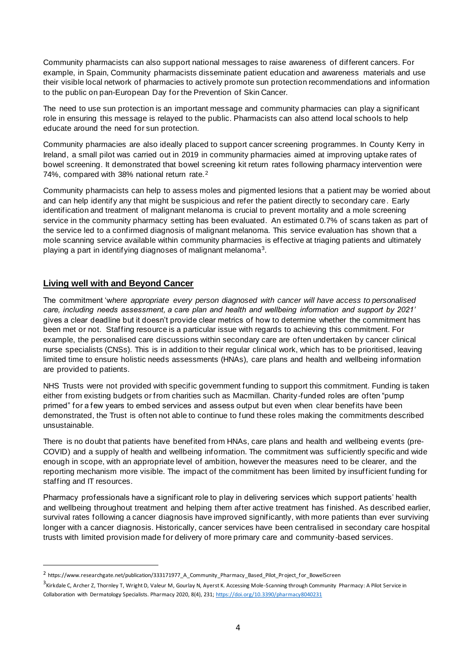Community pharmacists can also support national messages to raise awareness of different cancers. For example, in Spain, Community pharmacists disseminate patient education and awareness materials and use their visible local network of pharmacies to actively promote sun protection recommendations and information to the public on pan-European Day for the Prevention of Skin Cancer.

The need to use sun protection is an important message and community pharmacies can play a significant role in ensuring this message is relayed to the public. Pharmacists can also attend local schools to help educate around the need for sun protection.

Community pharmacies are also ideally placed to support cancer screening programmes. In County Kerry in Ireland, a small pilot was carried out in 2019 in community pharmacies aimed at improving uptake rates of bowel screening. It demonstrated that bowel screening kit return rates following pharmacy intervention were 74%, compared with 38% national return rate.<sup>2</sup>

Community pharmacists can help to assess moles and pigmented lesions that a patient may be worried about and can help identify any that might be suspicious and refer the patient directly to secondary care. Early identification and treatment of malignant melanoma is crucial to prevent mortality and a mole screening service in the community pharmacy setting has been evaluated. An estimated 0.7% of scans taken as part of the service led to a confirmed diagnosis of malignant melanoma. This service evaluation has shown that a mole scanning service available within community pharmacies is effective at triaging patients and ultimately playing a part in identifying diagnoses of malignant melanoma $^3$ .

# **Living well with and Beyond Cancer**

The commitment 'w*here appropriate every person diagnosed with cancer will have access to personalised care, including needs assessment, a care plan and health and wellbeing information and support by 2021'*  gives a clear deadline but it doesn't provide clear metrics of how to determine whether the commitment has been met or not. Staffing resource is a particular issue with regards to achieving this commitment. For example, the personalised care discussions within secondary care are often undertaken by cancer clinical nurse specialists (CNSs). This is in addition to their regular clinical work, which has to be prioritised, leaving limited time to ensure holistic needs assessments (HNAs), care plans and health and wellbeing information are provided to patients.

NHS Trusts were not provided with specific government funding to support this commitment. Funding is taken either from existing budgets or from charities such as Macmillan. Charity -funded roles are often "pump primed" for a few years to embed services and assess output but even when clear benefits have been demonstrated, the Trust is often not able to continue to fund these roles making the commitments described unsustainable.

There is no doubt that patients have benefited from HNAs, care plans and health and wellbeing events (pre-COVID) and a supply of health and wellbeing information. The commitment was sufficiently specific and wide enough in scope, with an appropriate level of ambition, however the measures need to be clearer, and the reporting mechanism more visible. The impact of the commitment has been limited by insufficient funding for staffing and IT resources.

Pharmacy professionals have a significant role to play in delivering services which support patients' health and wellbeing throughout treatment and helping them after active treatment has finished. As described earlier, survival rates following a cancer diagnosis have improved significantly, with more patients than ever surviving longer with a cancer diagnosis. Historically, cancer services have been centralised in secondary care hospital trusts with limited provision made for delivery of more primary care and community -based services.

<sup>2</sup> https://www.researchgate.net/publication/333171977\_A\_Community\_Pharmacy\_Based\_Pilot\_Project\_for\_BowelScreen

<sup>&</sup>lt;sup>3</sup> Kirkdale C, Archer Z, Thornley T, Wright D, Valeur M, Gourlay N, Ayerst K. Accessing Mole-Scanning through Community Pharmacy: A Pilot Service in Collaboration with Dermatology Specialists. Pharmacy 2020, 8(4), 231[; https://doi.org/10.3390/pharmacy8040231](https://gbr01.safelinks.protection.outlook.com/?url=https%3A%2F%2Fdoi.org%2F10.3390%2Fpharmacy8040231&data=04%7C01%7CHeidi.Wright%40rpharms.com%7C41d5de581c234aaf137708da0e712aa7%7C99193c61658d4076952f07c345a3be97%7C0%7C0%7C637838176460031012%7CUnknown%7CTWFpbGZsb3d8eyJWIjoiMC4wLjAwMDAiLCJQIjoiV2luMzIiLCJBTiI6Ik1haWwiLCJXVCI6Mn0%3D%7C3000&sdata=rWn8ihHFe8pmOVhD1n8aLPguhW5pI%2Bp3%2Bg0xYZEvpzY%3D&reserved=0)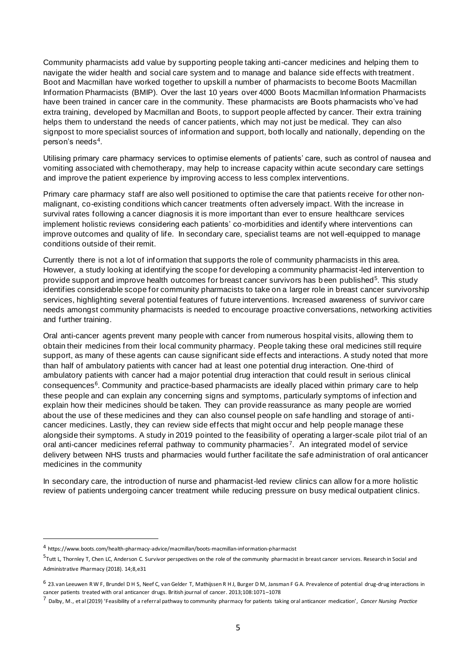Community pharmacists add value by supporting people taking anti-cancer medicines and helping them to navigate the wider health and social care system and to manage and balance side effects with treatment. Boot and Macmillan have worked together to upskill a number of pharmacists to become Boots Macmillan Information Pharmacists (BMIP). Over the last 10 years over 4000 Boots Macmillan Information Pharmacists have been trained in cancer care in the community. These pharmacists are Boots pharmacists who've had extra training, developed by Macmillan and Boots, to support people affected by cancer. Their extra training helps them to understand the needs of cancer patients, which may not just be medical. They can also signpost to more specialist sources of information and support, both locally and nationally, depending on the person's needs<sup>4</sup>.

Utilising primary care pharmacy services to optimise elements of patients' care, such as control of nausea and vomiting associated with chemotherapy, may help to increase capacity within acute secondary care settings and improve the patient experience by improving access to less complex interventions.

Primary care pharmacy staff are also well positioned to optimise the care that patients receive for other nonmalignant, co-existing conditions which cancer treatments often adversely impact. With the increase in survival rates following a cancer diagnosis it is more important than ever to ensure healthcare services implement holistic reviews considering each patients' co-morbidities and identify where interventions can improve outcomes and quality of life. In secondary care, specialist teams are not well-equipped to manage conditions outside of their remit.

Currently there is not a lot of inf ormation that supports the role of community pharmacists in this area. However, a study looking at identifying the scope for developing a community pharmacist-led intervention to provide support and improve health outcomes for breast cancer survivors has been published<sup>5</sup>. This study identifies considerable scope for community pharmacists to take on a larger role in breast cancer survivorship services, highlighting several potential features of future interventions. Increased awareness of survivor care needs amongst community pharmacists is needed to encourage proactive conversations, networking activities and further training.

Oral anti-cancer agents prevent many people with cancer from numerous hospital visits, allowing them to obtain their medicines from their local community pharmacy. People taking these oral medicines still require support, as many of these agents can cause significant side effects and interactions. A study noted that more than half of ambulatory patients with cancer had at least one potential drug interaction. One-third of ambulatory patients with cancer had a major potential drug interaction that could result in serious clinical consequences<sup>6</sup>. Community and practice-based pharmacists are ideally placed within primary care to help these people and can explain any concerning signs and symptoms, particularly symptoms of infection and explain how their medicines should be taken. They can provide reassurance as many people are worried about the use of these medicines and they can also counsel people on safe handling and storage of anticancer medicines. Lastly, they can review side effects that might occur and help people manage these alongside their symptoms. A study in 2019 pointed to the feasibility of operating a larger-scale pilot trial of an oral anti-cancer medicines referral pathway to community pharmacies<sup>7</sup>. An integrated model of service delivery between NHS trusts and pharmacies would further facilitate the safe administration of oral anticancer medicines in the community

In secondary care, the introduction of nurse and pharmacist-led review clinics can allow for a more holistic review of patients undergoing cancer treatment while reducing pressure on busy medical outpatient clinics.

<sup>4</sup> https://www.boots.com/health-pharmacy-advice/macmillan/boots-macmillan-information-pharmacist

<sup>&</sup>lt;sup>5</sup> Tutt L, Thornley T, Chen LC, Anderson C. Survivor perspectives on the role of the community pharmacist in breast cancer services. Research in Social and Administrative Pharmacy (2018). 14;8,e31

<sup>6 23.</sup>van Leeuwen R W F, Brundel D H S, Neef C, van Gelder T, Mathijssen R H J, Burger D M, Jansman F G A. Prevalence of potential drug-drug interactions in cancer patients treated with oral anticancer drugs. British journal of cancer. 2013;108:1071–1078

<sup>7</sup> Dalby, M., et al (2019) 'Feasibility of a referral pathway to community pharmacy for patients taking oral anticancer medication', *Cancer Nursing Practice*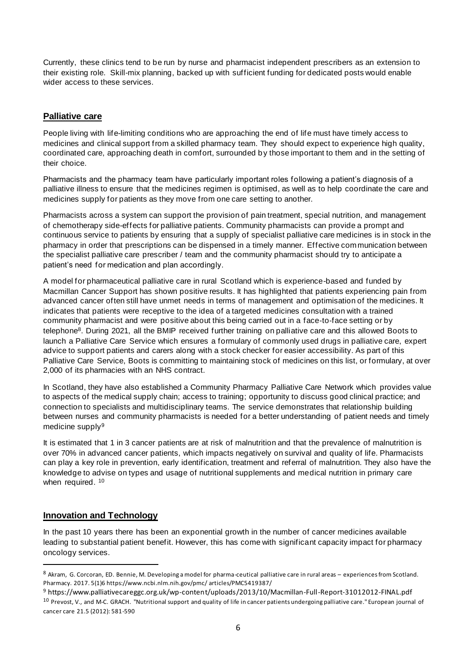Currently, these clinics tend to be run by nurse and pharmacist independent prescribers as an extension to their existing role. Skill-mix planning, backed up with sufficient funding for dedicated posts would enable wider access to these services.

# **Palliative care**

People living with life-limiting conditions who are approaching the end of life must have timely access to medicines and clinical support from a skilled pharmacy team. They should expect to experience high quality, coordinated care, approaching death in comfort, surrounded by those important to them and in the setting of their choice.

Pharmacists and the pharmacy team have particularly important roles following a patient's diagnosis of a palliative illness to ensure that the medicines regimen is optimised, as well as to help coordinate the care and medicines supply for patients as they move from one care setting to another.

Pharmacists across a system can support the provision of pain treatment, special nutrition, and management of chemotherapy side-effects for palliative patients. Community pharmacists can provide a prompt and continuous service to patients by ensuring that a supply of specialist palliative care medicines is in stock in the pharmacy in order that prescriptions can be dispensed in a timely manner. Effective communication between the specialist palliative care prescriber / team and the community pharmacist should try to anticipate a patient's need for medication and plan accordingly.

A model for pharmaceutical palliative care in rural Scotland which is experience-based and funded by Macmillan Cancer Support has shown positive results. It has highlighted that patients experiencing pain from advanced cancer often still have unmet needs in terms of management and optimisation of the medicines. It indicates that patients were receptive to the idea of a targeted medicines consultation with a trained community pharmacist and were positive about this being carried out in a face‐to‐face setting or by telephone<sup>8</sup>. During 2021, all the BMIP received further training on palliative care and this allowed Boots to launch a Palliative Care Service which ensures a formulary of commonly used drugs in palliative care, expert advice to support patients and carers along with a stock checker for easier accessibility. As part of this Palliative Care Service, Boots is committing to maintaining stock of medicines on this list, or formulary, at over 2,000 of its pharmacies with an NHS contract.

In Scotland, they have also established a Community Pharmacy Palliative Care Network which provides value to aspects of the medical supply chain; access to training; opportunity to discuss good clinical practice; and connection to specialists and multidisciplinary teams. The service demonstrates that relationship building between nurses and community pharmacists is needed for a better understanding of patient needs and timely medicine supply<sup>9</sup>

It is estimated that 1 in 3 cancer patients are at risk of malnutrition and that the prevalence of malnutrition is over 70% in advanced cancer patients, which impacts negatively on survival and quality of life. Pharmacists can play a key role in prevention, early identification, treatment and referral of malnutrition. They also have the knowledge to advise on types and usage of nutritional supplements and medical nutrition in primary care when required. 10

# **Innovation and Technology**

In the past 10 years there has been an exponential growth in the number of cancer medicines available leading to substantial patient benefit. However, this has come with significant capacity impact for pharmacy oncology services.

<sup>8</sup> Akram, G. Corcoran, ED. Bennie, M. Developing a model for pharma-ceutical palliative care in rural areas – experiences from Scotland. Pharmacy. 2017. 5(1)6 https://www.ncbi.nlm.nih.gov/pmc/ articles/PMC5419387/

<sup>9</sup> https://www.palliativecareggc.org.uk/wp-content/uploads/2013/10/Macmillan-Full-Report-31012012-FINAL.pdf 10 Prevost, V., and M-C. GRACH. "Nutritional support and quality of life in cancer patients undergoing palliative care." European journal of cancer care 21.5 (2012): 581-590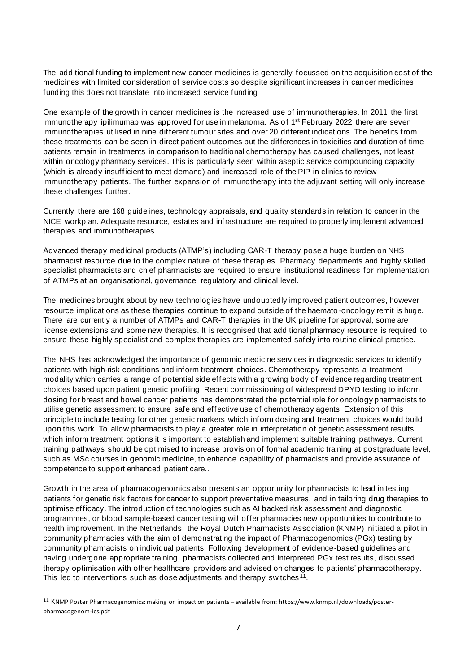The additional funding to implement new cancer medicines is generally focussed on the acquisition cost of the medicines with limited consideration of service costs so despite significant increases in cancer medicines funding this does not translate into increased service funding

One example of the growth in cancer medicines is the increased use of immunotherapies. In 2011 the first immunotherapy ipilimumab was approved for use in melanoma. As of 1<sup>st</sup> February 2022 there are seven immunotherapies utilised in nine different tumour sites and over 20 different indications. The benefits from these treatments can be seen in direct patient outcomes but the differences in toxicities and duration of time patients remain in treatments in comparison to traditional chemotherapy has caused challenges, not least within oncology pharmacy services. This is particularly seen within aseptic service compounding capacity (which is already insufficient to meet demand) and increased role of the PIP in clinics to review immunotherapy patients. The further expansion of immunotherapy into the adjuvant setting will only increase these challenges further.

Currently there are 168 guidelines, technology appraisals, and quality standards in relation to cancer in the NICE workplan. Adequate resource, estates and infrastructure are required to properly implement advanced therapies and immunotherapies.

Advanced therapy medicinal products (ATMP's) including CAR-T therapy pose a huge burden on NHS pharmacist resource due to the complex nature of these therapies. Pharmacy departments and highly skilled specialist pharmacists and chief pharmacists are required to ensure institutional readiness for implementation of ATMPs at an organisational, governance, regulatory and clinical level.

The medicines brought about by new technologies have undoubtedly improved patient outcomes, however resource implications as these therapies continue to expand outside of the haemato -oncology remit is huge. There are currently a number of ATMPs and CAR-T therapies in the UK pipeline for approval, some are license extensions and some new therapies. It is recognised that additional pharmacy resource is required to ensure these highly specialist and complex therapies are implemented safely into routine clinical practice.

The NHS has acknowledged the importance of genomic medicine services in diagnostic services to identify patients with high-risk conditions and inform treatment choices. Chemotherapy represents a treatment modality which carries a range of potential side effects with a growing body of evidence regarding treatment choices based upon patient genetic profiling. Recent commissioning of widespread DPYD testing to inform dosing for breast and bowel cancer patients has demonstrated the potential role for oncology pharmacists to utilise genetic assessment to ensure safe and effective use of chemotherapy agents. Extension of this principle to include testing for other genetic markers which inform dosing and treatment choices would build upon this work. To allow pharmacists to play a greater role in interpretation of genetic assessment results which inform treatment options it is important to establish and implement suitable training pathways. Current training pathways should be optimised to increase provision of formal academic training at postgraduate level, such as MSc courses in genomic medicine, to enhance capability of pharmacists and provide assurance of competence to support enhanced patient care..

Growth in the area of pharmacogenomics also presents an opportunity for pharmacists to lead in testing patients for genetic risk factors for cancer to support preventative measures, and in tailoring drug therapies to optimise efficacy. The introduction of technologies such as AI backed risk assessment and diagnostic programmes, or blood sample-based cancer testing will offer pharmacies new opportunities to contribute to health improvement. In the Netherlands, the Royal Dutch Pharmacists Association (KNMP) initiated a pilot in community pharmacies with the aim of demonstrating the impact of Pharmacogenomics (PGx) testing by community pharmacists on individual patients. Following development of evidence-based guidelines and having undergone appropriate training, pharmacists collected and interpreted PGx test results, discussed therapy optimisation with other healthcare providers and advised on changes to patients' pharmacotherapy. This led to interventions such as dose adjustments and therapy switches  $11$ .

<sup>11</sup> KNMP Poster Pharmacogenomics: making on impact on patients – available from: https://www.knmp.nl/downloads/posterpharmacogenom-ics.pdf